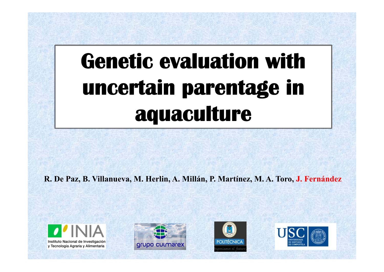## **Genetic evaluation with uncertain parentage in aquaculture**

**R. De Paz, B. Villanueva, M. Herlin, A. Millán, P. Martínez, M. A. Toro, J. Fernández**







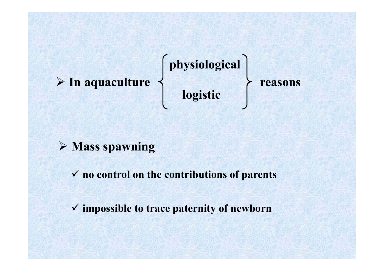#### **In aquaculture reasons**

**physiological logistic**

#### **Mass spawning**

**no control on the contributions of parents**

**impossible to trace paternity of newborn**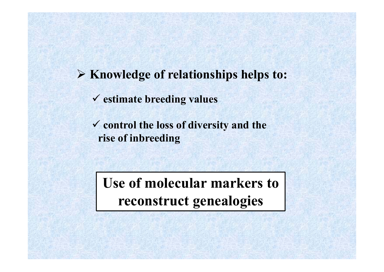**Knowledge of relationships helps to:**

**estimate breeding values**

 **control the loss of diversity and the rise of inbreeding**

**Use of molecular markers to reconstruct genealogies**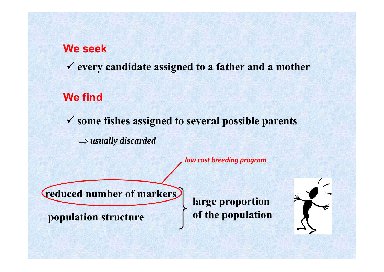#### **We seek**

**every candidate assigned to a father and a mother**

#### **We find**

**some fishes assigned to several possible parents**

 $\Rightarrow$  usually discarded

*low cost breeding program*

**reduced number of markers**

**population structure**

**large proportion of the population** 

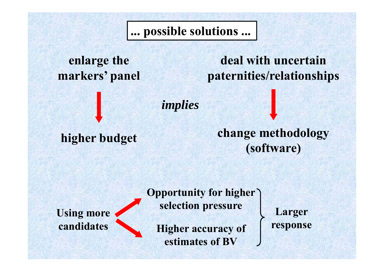**... possible solutions ...**

**enlarge the markers' panel**

**deal with uncertain paternities/relationships**

*implies*

**higher budget change methodology (software)**

**Using more candidates**

**Opportunity for higher selection pressure**

**Higher accuracy of estimates of BV**

**Larger response**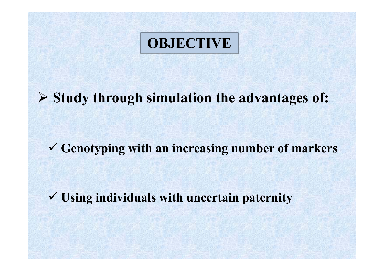### **OBJECTIVE**

**Study through simulation the advantages of:**

**Genotyping with an increasing number of markers**

**Using individuals with uncertain paternity**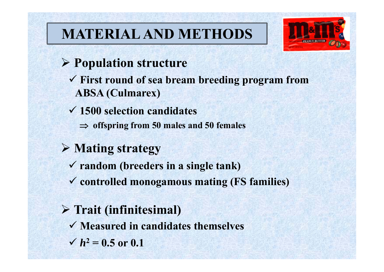## **MATERIAL AND METHODS**



- **Population structure**
	- **First round of sea bream breeding program from ABSA (Culmarex)**
	- **1500 selection candidates** 
		- **offspring from 50 males and 50 females**

#### **Mating strategy**

- **random (breeders in a single tank)**
- **controlled monogamous mating (FS families)**

### **Trait (infinitesimal)**

- **Measured in candidates themselves**
- $\sqrt{h^2} = 0.5$  or 0.1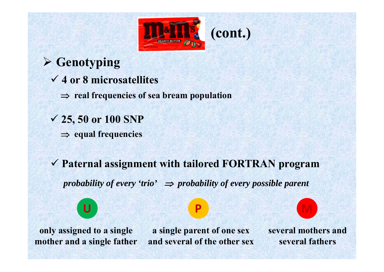

- **4 or 8 microsatellites Genotyping 25, 50 or 100 SNP real frequencies of sea bream population**
	- **equal frequencies**
	- **Paternal assignment with tailored FORTRAN program** *probability of every 'trio'*  $\Rightarrow$  *probability of every possible parent*

**only assigned to a single mother and a single father**

**U**

**a single parent of one sex and several of the other sex**

**P M**

**several mothers and several fathers**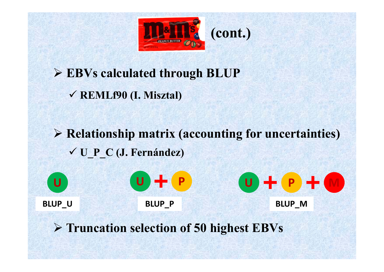

**EBVs calculated through BLUP**

**REMLf90 (I. Misztal)**

 **Relationship matrix (accounting for uncertainties) U\_P\_C (J. Fernández)**

**UP P D P P P P P P P U U P BLUP\_U BLUP\_P BLUP\_M**

**Truncation selection of 50 highest EBVs**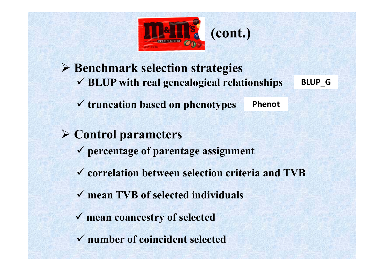

**(cont.)**

 **Benchmark selection strategies BLUP with real genealogical relationships**

**truncation based on phenotypes**

**Phenot**

**BLUP\_G**

 **Control parameters correlation between selection criteria and TVB mean TVB of selected individuals mean coancestry of selected percentage of parentage assignment number of coincident selected**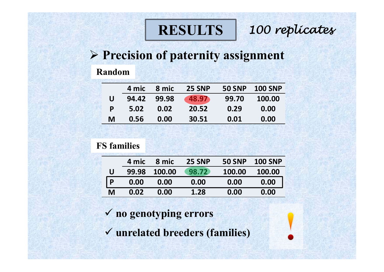### **RESULTS**

*100 replicates*

#### **Precision of paternity assignment**

#### **Random**

|   | 4 mic | 8 mic | <b>25 SNP</b> | <b>50 SNP</b> | <b>100 SNP</b> |
|---|-------|-------|---------------|---------------|----------------|
| U | 94.42 | 99.98 | 48.97         | 99.70         | 100.00         |
| P | 5.02  | 0.02  | 20.52         | 0.29          | 0.00           |
| M | 0.56  | 0.00  | 30.51         | 0.01          | 0.00           |

#### **FS families**

|   | 4 mic | 8 mic  | <b>25 SNP</b> | <b>50 SNP</b> | <b>100 SNP</b> |
|---|-------|--------|---------------|---------------|----------------|
| U | 99.98 | 100.00 | 98.72         | 100.00        | 100.00         |
| P | 0.00  | 0.00   | 0.00          | 0.00          | 0.00           |
| M | 0.02  | 0.00   | 1.28          | 0.00          | 0.00           |

- **no genotyping errors**
- **unrelated breeders (families)**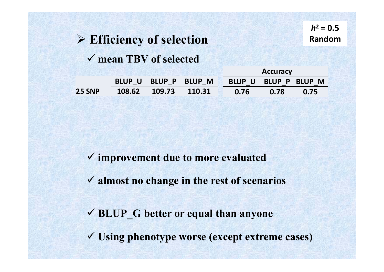### **Efficiency of selection**

**mean TBV of selected**

**4 mic 110.67 110.77 110.76**

**8 mic 110.72 110.72 110.72**

|               |               |        | <b>Accuracy</b> |      |      |                      |
|---------------|---------------|--------|-----------------|------|------|----------------------|
|               | <b>BLUP U</b> |        | BLUP P BLUP M   |      |      | BLUP U BLUP P BLUP M |
| <b>25 SNP</b> | 108.62        | 109.73 | 110.31          | 0.76 | 0.78 | 0.75                 |

**improvement due to more evaluated** 

**almost no change in the rest of scenarios**

**BLUP\_G better or equal than anyone**

**Using phenotype worse (except extreme cases)**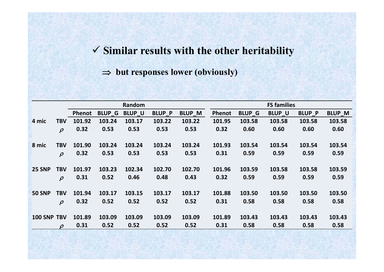#### **Similar results with the other heritability**

#### $\Rightarrow$  but responses lower (obviously)

|               | Random              |        |                         |               |               | <b>FS families</b> |               |               |               |               |               |
|---------------|---------------------|--------|-------------------------|---------------|---------------|--------------------|---------------|---------------|---------------|---------------|---------------|
|               |                     | Phenot | <b>BLUP<sub>G</sub></b> | <b>BLUP U</b> | <b>BLUP_P</b> | <b>BLUP_M</b>      | <b>Phenot</b> | <b>BLUP G</b> | <b>BLUP U</b> | <b>BLUP P</b> | <b>BLUP_M</b> |
| 4 mic         | <b>TBV</b>          | 101.92 | 103.24                  | 103.17        | 103.22        | 103.22             | 101.95        | 103.58        | 103.58        | 103.58        | 103.58        |
|               | $\rho$              | 0.32   | 0.53                    | 0.53          | 0.53          | 0.53               | 0.32          | 0.60          | 0.60          | 0.60          | 0.60          |
|               |                     |        |                         |               |               |                    |               |               |               |               |               |
| 8 mic         | <b>TBV</b>          | 101.90 | 103.24                  | 103.24        | 103.24        | 103.24             | 101.93        | 103.54        | 103.54        | 103.54        | 103.54        |
|               | $\rho$              | 0.32   | 0.53                    | 0.53          | 0.53          | 0.53               | 0.31          | 0.59          | 0.59          | 0.59          | 0.59          |
|               |                     |        |                         |               |               |                    |               |               |               |               |               |
| <b>25 SNP</b> | <b>TBV</b>          | 101.97 | 103.23                  | 102.34        | 102.70        | 102.70             | 101.96        | 103.59        | 103.58        | 103.58        | 103.59        |
|               | $\rho$              | 0.31   | 0.52                    | 0.46          | 0.48          | 0.43               | 0.32          | 0.59          | 0.59          | 0.59          | 0.59          |
|               |                     |        |                         |               |               |                    |               |               |               |               |               |
| <b>50 SNP</b> | <b>TBV</b>          | 101.94 | 103.17                  | 103.15        | 103.17        | 103.17             | 101.88        | 103.50        | 103.50        | 103.50        | 103.50        |
|               | $\rho$              | 0.32   | 0.52                    | 0.52          | 0.52          | 0.52               | 0.31          | 0.58          | 0.58          | 0.58          | 0.58          |
|               |                     |        |                         |               |               |                    |               |               |               |               |               |
| 100 SNP TBV   |                     | 101.89 | 103.09                  | 103.09        | 103.09        | 103.09             | 101.89        | 103.43        | 103.43        | 103.43        | 103.43        |
|               | $\boldsymbol{\rho}$ | 0.31   | 0.52                    | 0.52          | 0.52          | 0.52               | 0.31          | 0.58          | 0.58          | 0.58          | 0.58          |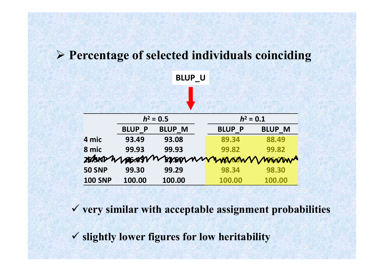#### **Percentage of selected individuals coinciding**

**BLUP\_U**



**very similar with acceptable assignment probabilities**

**slightly lower figures for low heritability**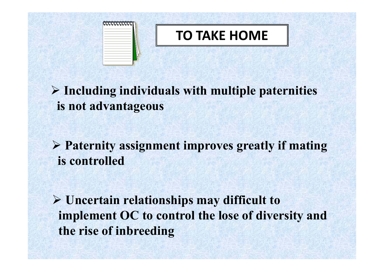

 **Including individuals with multiple paternities is not advantageous**

 **Paternity assignment improves greatly if mating is controlled**

 **Uncertain relationships may difficult to implement OC to control the lose of diversity and the rise of inbreeding**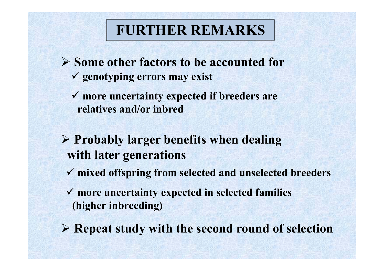### **FURTHER REMARKS**

- **Some other factors to be accounted for genotyping errors may exist**
	- **more uncertainty expected if breeders are relatives and/or inbred**
- **Probably larger benefits when dealing with later generations**
	- **mixed offspring from selected and unselected breeders**
	- **more uncertainty expected in selected families (higher inbreeding)**
- **Repeat study with the second round of selection**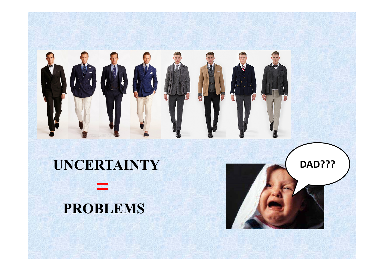

### **UNCERTAINTY**



=